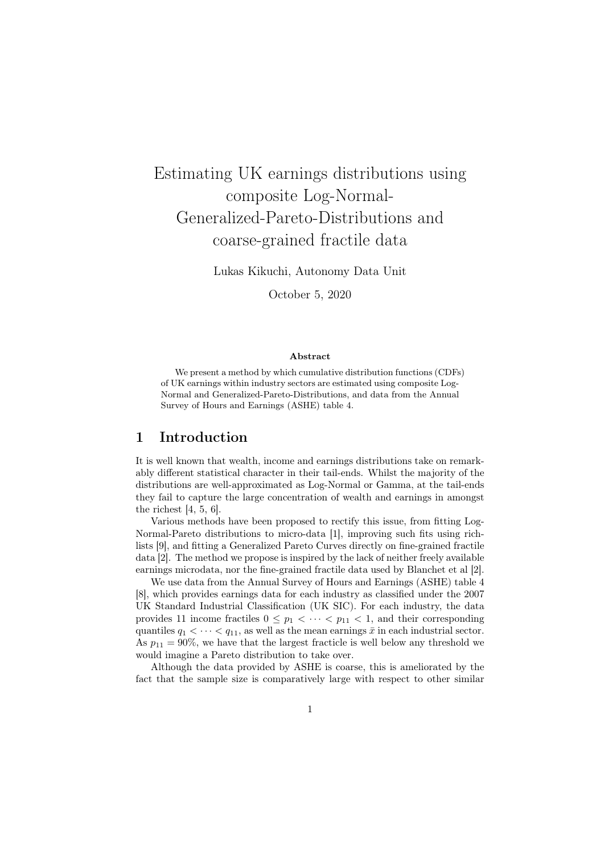# Estimating UK earnings distributions using composite Log-Normal-Generalized-Pareto-Distributions and coarse-grained fractile data

Lukas Kikuchi, Autonomy Data Unit

October 5, 2020

#### Abstract

We present a method by which cumulative distribution functions (CDFs) of UK earnings within industry sectors are estimated using composite Log-Normal and Generalized-Pareto-Distributions, and data from the Annual Survey of Hours and Earnings (ASHE) table 4.

### 1 Introduction

It is well known that wealth, income and earnings distributions take on remarkably different statistical character in their tail-ends. Whilst the majority of the distributions are well-approximated as Log-Normal or Gamma, at the tail-ends they fail to capture the large concentration of wealth and earnings in amongst the richest [4, 5, 6].

Various methods have been proposed to rectify this issue, from fitting Log-Normal-Pareto distributions to micro-data [1], improving such fits using richlists [9], and fitting a Generalized Pareto Curves directly on fine-grained fractile data [2]. The method we propose is inspired by the lack of neither freely available earnings microdata, nor the fine-grained fractile data used by Blanchet et al [2].

We use data from the Annual Survey of Hours and Earnings (ASHE) table 4 [8], which provides earnings data for each industry as classified under the 2007 UK Standard Industrial Classification (UK SIC). For each industry, the data provides 11 income fractiles  $0 \leq p_1 < \cdots < p_{11} < 1$ , and their corresponding quantiles  $q_1 < \cdots < q_{11}$ , as well as the mean earnings  $\bar{x}$  in each industrial sector. As  $p_{11} = 90\%$ , we have that the largest fracticle is well below any threshold we would imagine a Pareto distribution to take over.

Although the data provided by ASHE is coarse, this is ameliorated by the fact that the sample size is comparatively large with respect to other similar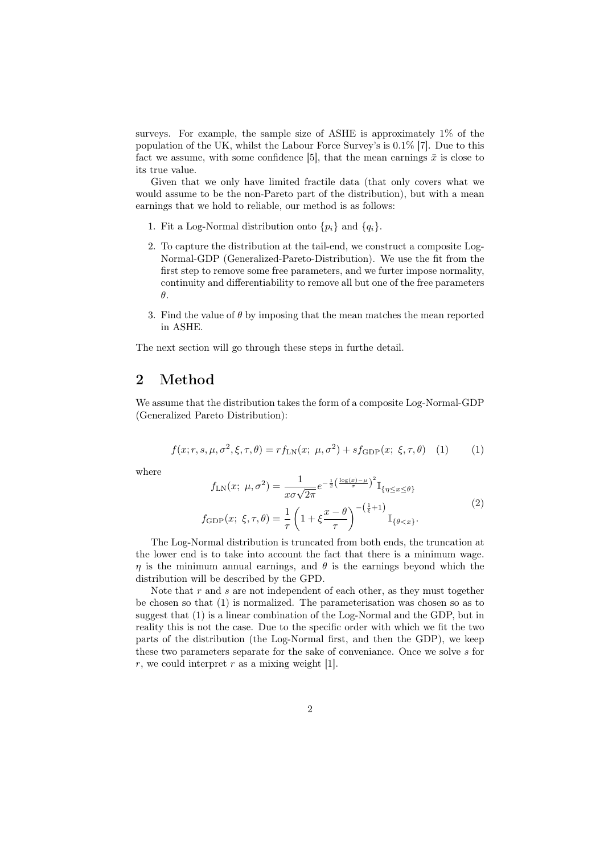surveys. For example, the sample size of ASHE is approximately 1% of the population of the UK, whilst the Labour Force Survey's is 0*.*1% [7]. Due to this fact we assume, with some confidence [5], that the mean earnings  $\bar{x}$  is close to its true value.

Given that we only have limited fractile data (that only covers what we would assume to be the non-Pareto part of the distribution), but with a mean earnings that we hold to reliable, our method is as follows:

- 1. Fit a Log-Normal distribution onto  $\{p_i\}$  and  $\{q_i\}$ .
- 2. To capture the distribution at the tail-end, we construct a composite Log-Normal-GDP (Generalized-Pareto-Distribution). We use the fit from the first step to remove some free parameters, and we furter impose normality, continuity and differentiability to remove all but one of the free parameters *θ*.
- 3. Find the value of  $\theta$  by imposing that the mean matches the mean reported in ASHE.

The next section will go through these steps in furthe detail.

# 2 Method

We assume that the distribution takes the form of a composite Log-Normal-GDP (Generalized Pareto Distribution):

$$
f(x; r, s, \mu, \sigma^2, \xi, \tau, \theta) = r f_{LN}(x; \mu, \sigma^2) + s f_{GDP}(x; \xi, \tau, \theta) \tag{1}
$$

where

$$
f_{\text{LN}}(x; \mu, \sigma^2) = \frac{1}{x\sigma\sqrt{2\pi}} e^{-\frac{1}{2}\left(\frac{\log(x) - \mu}{\sigma}\right)^2} \mathbb{I}_{\{\eta \le x \le \theta\}}
$$

$$
f_{\text{GDP}}(x; \xi, \tau, \theta) = \frac{1}{\tau} \left(1 + \xi \frac{x - \theta}{\tau}\right)^{-(\frac{1}{\xi} + 1)} \mathbb{I}_{\{\theta < x\}}.
$$

$$
(2)
$$

The Log-Normal distribution is truncated from both ends, the truncation at the lower end is to take into account the fact that there is a minimum wage. *η* is the minimum annual earnings, and  $\theta$  is the earnings beyond which the distribution will be described by the GPD.

Note that *r* and *s* are not independent of each other, as they must together be chosen so that (1) is normalized. The parameterisation was chosen so as to suggest that (1) is a linear combination of the Log-Normal and the GDP, but in reality this is not the case. Due to the specific order with which we fit the two parts of the distribution (the Log-Normal first, and then the GDP), we keep these two parameters separate for the sake of conveniance. Once we solve *s* for *r*, we could interpret *r* as a mixing weight [1].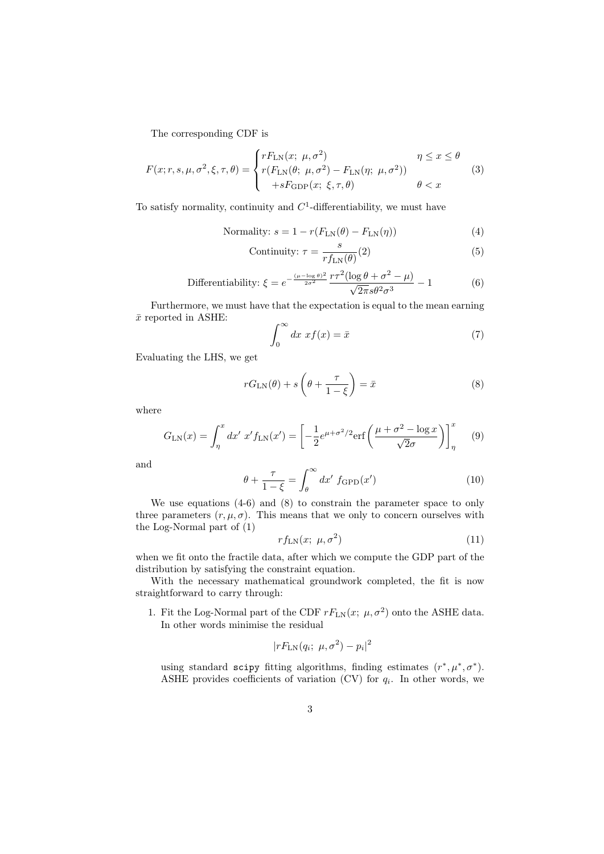The corresponding CDF is

$$
F(x; r, s, \mu, \sigma^2, \xi, \tau, \theta) = \begin{cases} rF_{\text{LN}}(x; \mu, \sigma^2) & \eta \le x \le \theta \\ r(F_{\text{LN}}(\theta; \mu, \sigma^2) - F_{\text{LN}}(\eta; \mu, \sigma^2)) & \theta < x \\ +sF_{\text{GDP}}(x; \xi, \tau, \theta) & \theta < x \end{cases} \tag{3}
$$

To satisfy normality, continuity and  $C<sup>1</sup>$ -differentiability, we must have

$$
Normality: s = 1 - r(F_{LN}(\theta) - F_{LN}(\eta))
$$
\n(4)

Continuity: 
$$
\tau = \frac{s}{rf_{\text{LN}}(\theta)}(2)
$$
 (5)

Differentiability: 
$$
\xi = e^{-\frac{(\mu - \log \theta)^2}{2\sigma^2}} \frac{r\tau^2 (\log \theta + \sigma^2 - \mu)}{\sqrt{2\pi} s \theta^2 \sigma^3} - 1
$$
 (6)

Furthermore, we must have that the expectation is equal to the mean earning  $\bar{x}$  reported in ASHE:

$$
\int_0^\infty dx \; x f(x) = \bar{x} \tag{7}
$$

Evaluating the LHS, we get

$$
rG_{LN}(\theta) + s\left(\theta + \frac{\tau}{1-\xi}\right) = \bar{x}
$$
\n(8)

where

$$
G_{\rm LN}(x) = \int_{\eta}^{x} dx' \ x' f_{\rm LN}(x') = \left[ -\frac{1}{2} e^{\mu + \sigma^2/2} \text{erf}\left(\frac{\mu + \sigma^2 - \log x}{\sqrt{2}\sigma}\right) \right]_{\eta}^{x} \tag{9}
$$

and

$$
\theta + \frac{\tau}{1 - \xi} = \int_{\theta}^{\infty} dx' f_{\text{GPD}}(x')
$$
 (10)

We use equations (4-6) and (8) to constrain the parameter space to only three parameters  $(r, \mu, \sigma)$ . This means that we only to concern ourselves with the Log-Normal part of (1)

$$
rf_{\text{LN}}(x; \ \mu, \sigma^2) \tag{11}
$$

when we fit onto the fractile data, after which we compute the GDP part of the distribution by satisfying the constraint equation.

With the necessary mathematical groundwork completed, the fit is now straightforward to carry through:

1. Fit the Log-Normal part of the CDF  $rF_{LN}(x; \mu, \sigma^2)$  onto the ASHE data. In other words minimise the residual

$$
|rF_{\text{LN}}(q_i; \ \mu, \sigma^2) - p_i|^2
$$

using standard scipy fitting algorithms, finding estimates  $(r^*, \mu^*, \sigma^*)$ . ASHE provides coefficients of variation (CV) for  $q_i$ . In other words, we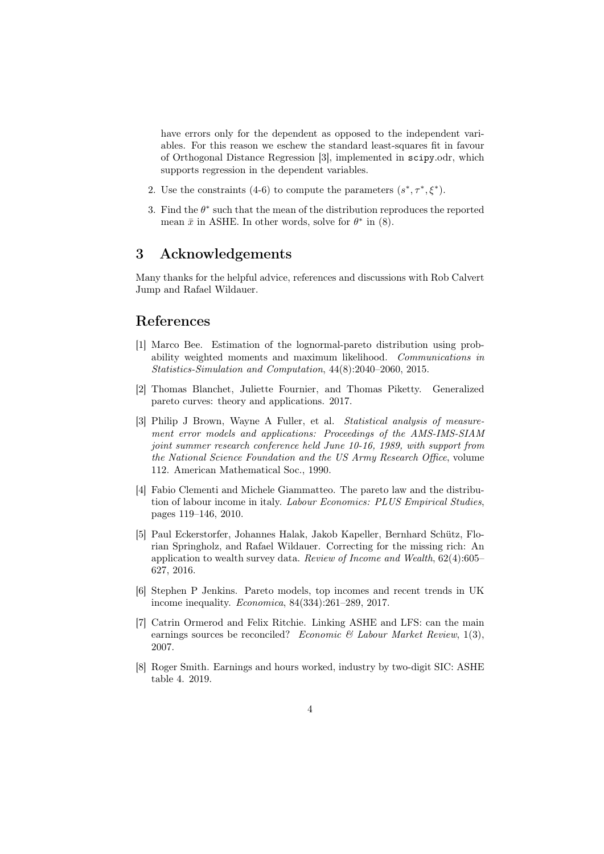have errors only for the dependent as opposed to the independent variables. For this reason we eschew the standard least-squares fit in favour of Orthogonal Distance Regression [3], implemented in scipy.odr, which supports regression in the dependent variables.

- 2. Use the constraints (4-6) to compute the parameters  $(s^*, \tau^*, \xi^*)$ .
- 3. Find the *θ ∗* such that the mean of the distribution reproduces the reported mean  $\bar{x}$  in ASHE. In other words, solve for  $\theta^*$  in (8).

## 3 Acknowledgements

Many thanks for the helpful advice, references and discussions with Rob Calvert Jump and Rafael Wildauer.

#### References

- [1] Marco Bee. Estimation of the lognormal-pareto distribution using probability weighted moments and maximum likelihood. *Communications in Statistics-Simulation and Computation*, 44(8):2040–2060, 2015.
- [2] Thomas Blanchet, Juliette Fournier, and Thomas Piketty. Generalized pareto curves: theory and applications. 2017.
- [3] Philip J Brown, Wayne A Fuller, et al. *Statistical analysis of measurement error models and applications: Proceedings of the AMS-IMS-SIAM joint summer research conference held June 10-16, 1989, with support from the National Science Foundation and the US Army Research Office*, volume 112. American Mathematical Soc., 1990.
- [4] Fabio Clementi and Michele Giammatteo. The pareto law and the distribution of labour income in italy. *Labour Economics: PLUS Empirical Studies*, pages 119–146, 2010.
- [5] Paul Eckerstorfer, Johannes Halak, Jakob Kapeller, Bernhard Schütz, Florian Springholz, and Rafael Wildauer. Correcting for the missing rich: An application to wealth survey data. *Review of Income and Wealth*, 62(4):605– 627, 2016.
- [6] Stephen P Jenkins. Pareto models, top incomes and recent trends in UK income inequality. *Economica*, 84(334):261–289, 2017.
- [7] Catrin Ormerod and Felix Ritchie. Linking ASHE and LFS: can the main earnings sources be reconciled? *Economic & Labour Market Review*, 1(3), 2007.
- [8] Roger Smith. Earnings and hours worked, industry by two-digit SIC: ASHE table 4. 2019.